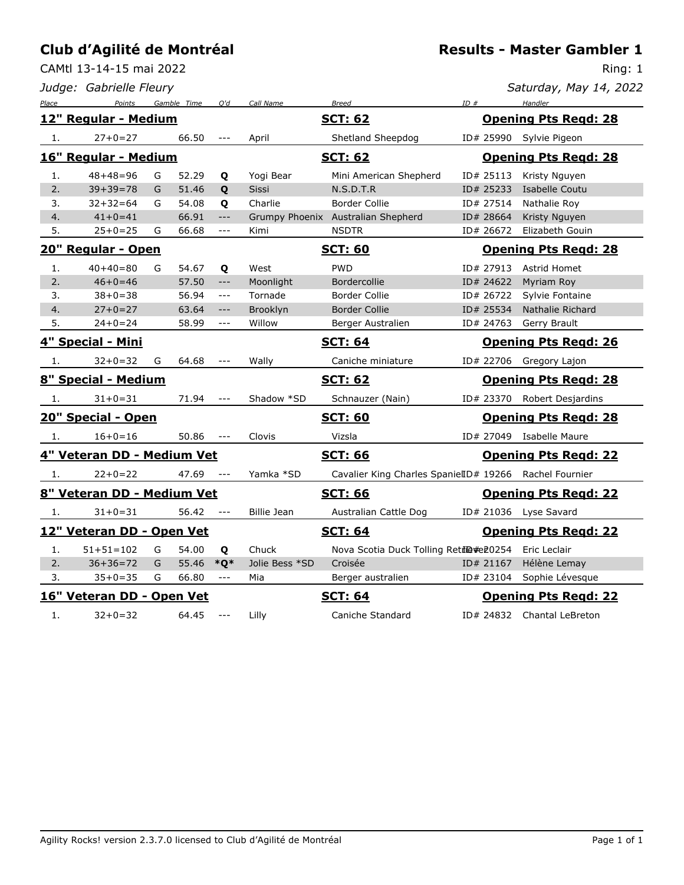CAMtl 13-14-15 mai 2022

|       | Judge: Gabrielle Fleury    |   |             |                                                                   |                 |                                                        |     |           | Saturday, May 14, 2022      |
|-------|----------------------------|---|-------------|-------------------------------------------------------------------|-----------------|--------------------------------------------------------|-----|-----------|-----------------------------|
| Place | Points                     |   | Gamble Time | O'd                                                               | Call Name       | <b>Breed</b>                                           | ID# |           | Handler                     |
|       | 12" Regular - Medium       |   |             |                                                                   |                 | <b>SCT: 62</b>                                         |     |           | <b>Opening Pts Regd: 28</b> |
| 1.    | $27 + 0 = 27$              |   | 66.50       |                                                                   | April           | Shetland Sheepdog                                      |     |           | ID# 25990 Sylvie Pigeon     |
|       | 16" Regular - Medium       |   |             |                                                                   |                 | <b>SCT: 62</b>                                         |     |           | <b>Opening Pts Regd: 28</b> |
| 1.    | $48 + 48 = 96$             | G | 52.29       | Q                                                                 | Yogi Bear       | Mini American Shepherd                                 |     | ID# 25113 | Kristy Nguyen               |
| 2.    | $39 + 39 = 78$             | G | 51.46       | Q                                                                 | <b>Sissi</b>    | N.S.D.T.R                                              |     | ID# 25233 | Isabelle Coutu              |
| 3.    | $32 + 32 = 64$             | G | 54.08       | Q                                                                 | Charlie         | <b>Border Collie</b>                                   |     | ID# 27514 | Nathalie Roy                |
| 4.    | $41+0=41$                  |   | 66.91       | $---$                                                             |                 | Grumpy Phoenix Australian Shepherd                     |     | ID# 28664 | Kristy Nguyen               |
| 5.    | $25+0=25$                  | G | 66.68       | $\sim$ $\sim$ $\sim$                                              | Kimi            | <b>NSDTR</b>                                           |     | ID# 26672 | Elizabeth Gouin             |
|       | 20" Regular - Open         |   |             |                                                                   |                 | <b>SCT: 60</b>                                         |     |           | <b>Opening Pts Regd: 28</b> |
| 1.    | $40+40=80$                 | G | 54.67       | Q                                                                 | West            | <b>PWD</b>                                             |     | ID# 27913 | Astrid Homet                |
| 2.    | $46 + 0 = 46$              |   | 57.50       | $\qquad \qquad - -$                                               | Moonlight       | Bordercollie                                           |     | ID# 24622 | Myriam Roy                  |
| 3.    | $38 + 0 = 38$              |   | 56.94       | $\qquad \qquad -$                                                 | Tornade         | Border Collie                                          |     | ID# 26722 | Sylvie Fontaine             |
| 4.    | $27 + 0 = 27$              |   | 63.64       | $\hspace{0.05cm} \ldots \hspace{0.05cm}$ $\hspace{0.05cm} \ldots$ | <b>Brooklyn</b> | <b>Border Collie</b>                                   |     | ID# 25534 | Nathalie Richard            |
| 5.    | $24+0=24$                  |   | 58.99       | ---                                                               | Willow          | Berger Australien                                      |     | ID# 24763 | Gerry Brault                |
|       | 4" Special - Mini          |   |             |                                                                   |                 | <b>SCT: 64</b>                                         |     |           | <b>Opening Pts Regd: 26</b> |
| 1.    | $32 + 0 = 32$              | G | 64.68       |                                                                   | Wally           | Caniche miniature                                      |     |           | ID# 22706 Gregory Lajon     |
|       | 8" Special - Medium        |   |             |                                                                   |                 | <b>SCT: 62</b>                                         |     |           | <b>Opening Pts Regd: 28</b> |
| 1.    | $31 + 0 = 31$              |   | 71.94       |                                                                   | Shadow *SD      | Schnauzer (Nain)                                       |     |           | ID# 23370 Robert Desjardins |
|       | 20" Special - Open         |   |             |                                                                   |                 | <b>SCT: 60</b>                                         |     |           | <b>Opening Pts Regd: 28</b> |
| -1.   | $16 + 0 = 16$              |   | 50.86       |                                                                   | Clovis          | Vizsla                                                 |     |           | ID# 27049 Isabelle Maure    |
|       | 4" Veteran DD - Medium Vet |   |             |                                                                   |                 | <b>SCT: 66</b>                                         |     |           | <b>Opening Pts Regd: 22</b> |
| 1.    | $22+0=22$                  |   | 47.69       | $  -$                                                             | Yamka *SD       | Cavalier King Charles SpanielID# 19266 Rachel Fournier |     |           |                             |
|       | 8" Veteran DD - Medium Vet |   |             |                                                                   |                 | <b>SCT: 66</b>                                         |     |           | <b>Opening Pts Regd: 22</b> |
| 1.    | $31 + 0 = 31$              |   | 56.42       | $\sim$ $\sim$ $\sim$                                              | Billie Jean     | Australian Cattle Dog                                  |     |           | ID# 21036 Lyse Savard       |
|       | 12" Veteran DD - Open Vet  |   |             |                                                                   |                 | <b>SCT: 64</b>                                         |     |           | <b>Opening Pts Regd: 22</b> |
| 1.    | $51 + 51 = 102$            | G | 54.00       | Q                                                                 | Chuck           | Nova Scotia Duck Tolling Retil@#e20254                 |     |           | Eric Leclair                |
| 2.    | $36 + 36 = 72$             | G | 55.46       | $*Q*$                                                             | Jolie Bess *SD  | Croisée                                                |     | ID# 21167 | Hélène Lemay                |
| 3.    | $35 + 0 = 35$              | G | 66.80       | $\sim$ $\sim$ $\sim$                                              | Mia             | Berger australien                                      |     | ID# 23104 | Sophie Lévesque             |
|       | 16" Veteran DD - Open Vet  |   |             |                                                                   |                 | <b>SCT: 64</b>                                         |     |           | <b>Opening Pts Regd: 22</b> |
| 1.    | $32 + 0 = 32$              |   | 64.45       | $\sim$ $\sim$ $\sim$                                              | Lilly           | Caniche Standard                                       |     |           | ID# 24832 Chantal LeBreton  |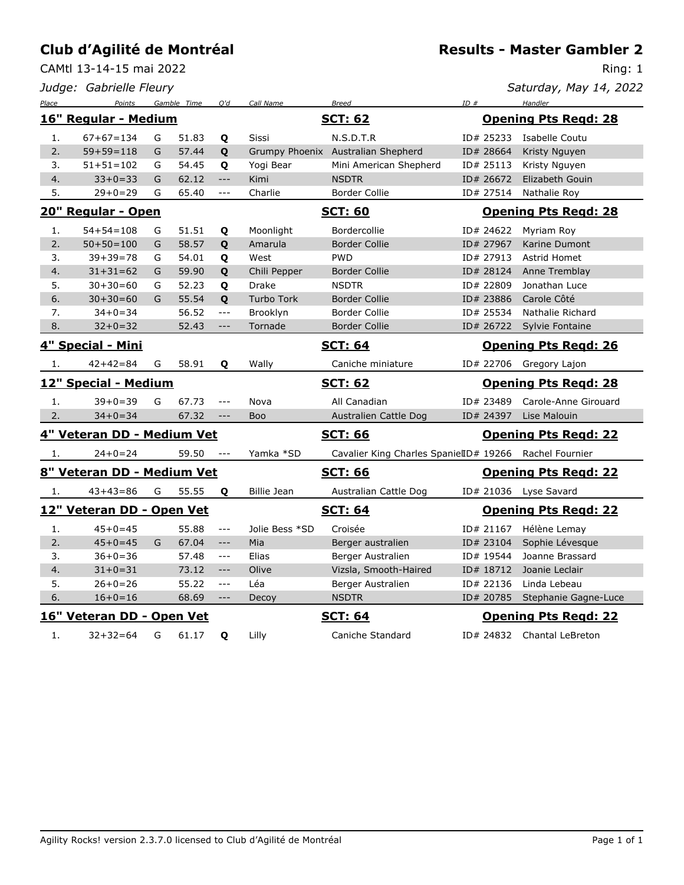CAMtl 13-14-15 mai 2022

**Results - Master Gambler 2**

|       | Judge: Gabrielle Fleury    |               |             |                     |                   |                                                        |           | Saturday, May 14, 2022      |
|-------|----------------------------|---------------|-------------|---------------------|-------------------|--------------------------------------------------------|-----------|-----------------------------|
| Place | Points                     |               | Gamble Time | O'd                 | Call Name         | <b>Breed</b>                                           | ID#       | Handler                     |
|       | 16" Regular - Medium       |               |             |                     |                   | <b>SCT: 62</b>                                         |           | <b>Opening Pts Regd: 28</b> |
| 1.    | $67+67=134$                | G             | 51.83       | Q                   | Sissi             | N.S.D.T.R                                              | ID# 25233 | Isabelle Coutu              |
| 2.    | $59 + 59 = 118$            | G             | 57.44       | Q                   |                   | Grumpy Phoenix Australian Shepherd                     | ID# 28664 | Kristy Nguyen               |
| 3.    | $51 + 51 = 102$            | G             | 54.45       | Q                   | Yogi Bear         | Mini American Shepherd                                 | ID# 25113 | Kristy Nguyen               |
| 4.    | $33+0=33$                  | G             | 62.12       | $\qquad \qquad - -$ | Kimi              | <b>NSDTR</b>                                           | ID# 26672 | Elizabeth Gouin             |
| 5.    | $29 + 0 = 29$              | G             | 65.40       | $\overline{a}$      | Charlie           | <b>Border Collie</b>                                   | ID# 27514 | Nathalie Roy                |
|       | 20" Regular - Open         |               |             |                     |                   | <b>SCT: 60</b>                                         |           | <b>Opening Pts Regd: 28</b> |
| 1.    | $54 + 54 = 108$            | G             | 51.51       | Q                   | Moonlight         | Bordercollie                                           | ID# 24622 | Myriam Roy                  |
| 2.    | $50+50=100$                | G             | 58.57       | Q                   | Amarula           | <b>Border Collie</b>                                   | ID# 27967 | Karine Dumont               |
| 3.    | $39 + 39 = 78$             | G             | 54.01       | Q                   | West              | <b>PWD</b>                                             | ID# 27913 | Astrid Homet                |
| 4.    | $31 + 31 = 62$             | G             | 59.90       | Q                   | Chili Pepper      | <b>Border Collie</b>                                   | ID# 28124 | Anne Tremblay               |
| 5.    | $30+30=60$                 | G             | 52.23       | Q                   | Drake             | <b>NSDTR</b>                                           | ID# 22809 | Jonathan Luce               |
| 6.    | $30+30=60$                 | G             | 55.54       | Q                   | <b>Turbo Tork</b> | <b>Border Collie</b>                                   | ID# 23886 | Carole Côté                 |
| 7.    | $34 + 0 = 34$              |               | 56.52       | $\frac{1}{2}$       | Brooklyn          | <b>Border Collie</b>                                   | ID# 25534 | Nathalie Richard            |
| 8.    | $32 + 0 = 32$              |               | 52.43       | $---$               | Tornade           | <b>Border Collie</b>                                   | ID# 26722 | Sylvie Fontaine             |
|       | 4" Special - Mini          |               |             |                     |                   | <b>SCT: 64</b>                                         |           | <b>Opening Pts Regd: 26</b> |
| 1.    | $42+42=84$                 | G             | 58.91       | Q                   | Wally             | Caniche miniature                                      |           | ID# 22706 Gregory Lajon     |
|       | 12" Special - Medium       |               |             |                     |                   | <b>SCT: 62</b>                                         |           | <b>Opening Pts Regd: 28</b> |
| 1.    | $39 + 0 = 39$              | ${\mathsf G}$ | 67.73       | $---$               | Nova              | All Canadian                                           | ID# 23489 | Carole-Anne Girouard        |
| 2.    | $34 + 0 = 34$              |               | 67.32       | $\qquad \qquad - -$ | <b>Boo</b>        | Australien Cattle Dog                                  | ID# 24397 | Lise Malouin                |
|       | 4" Veteran DD - Medium Vet |               |             |                     |                   | <b>SCT: 66</b>                                         |           | <b>Opening Pts Regd: 22</b> |
| 1.    | $24+0=24$                  |               | 59.50       | $- - -$             | Yamka *SD         | Cavalier King Charles SpanielID# 19266 Rachel Fournier |           |                             |
|       | 8" Veteran DD - Medium Vet |               |             |                     |                   | <b>SCT: 66</b>                                         |           | <b>Opening Pts Regd: 22</b> |
| 1.    | $43+43=86$                 | G             | 55.55       | Q                   | Billie Jean       | Australian Cattle Dog                                  |           | ID# 21036 Lyse Savard       |
|       | 12" Veteran DD - Open Vet  |               |             |                     |                   | <b>SCT: 64</b>                                         |           | <b>Opening Pts Regd: 22</b> |
| 1.    | $45 + 0 = 45$              |               | 55.88       | $---$               | Jolie Bess *SD    | Croisée                                                | ID# 21167 | Hélène Lemay                |
| 2.    | $45 + 0 = 45$              | G             | 67.04       | $---$               | Mia               | Berger australien                                      | ID# 23104 | Sophie Lévesque             |
| 3.    | $36+0=36$                  |               | 57.48       | $---$               | Elias             | Berger Australien                                      | ID# 19544 | Joanne Brassard             |
| 4.    | $31 + 0 = 31$              |               | 73.12       | $---$               | Olive             | Vizsla, Smooth-Haired                                  | ID# 18712 | Joanie Leclair              |
| 5.    | $26+0=26$                  |               | 55.22       | $---$               | Léa               | Berger Australien                                      | ID# 22136 | Linda Lebeau                |
| 6.    | $16+0=16$                  |               | 68.69       | $---$               | Decoy             | <b>NSDTR</b>                                           | ID# 20785 | Stephanie Gagne-Luce        |
|       | 16" Veteran DD - Open Vet  |               |             |                     |                   | <u>SCT: 64</u>                                         |           | <b>Opening Pts Regd: 22</b> |
| 1.    | $32 + 32 = 64$             | G             | 61.17       | Q                   | Lilly             | Caniche Standard                                       |           | ID# 24832 Chantal LeBreton  |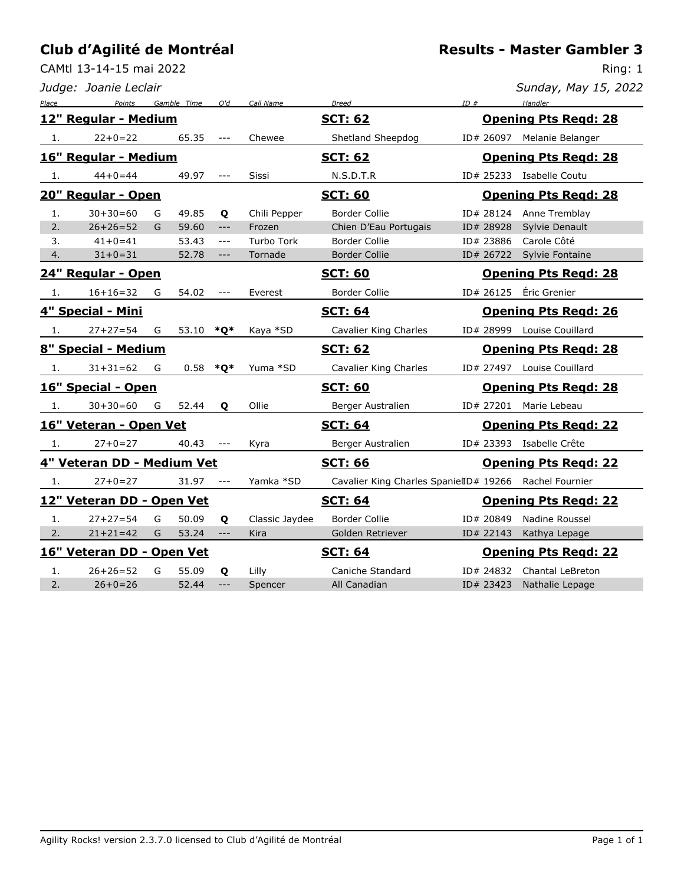CAMtl 13-14-15 mai 2022

*Judge: Joanie Leclair*

| Sunday, May 15, 2022 |  |  |
|----------------------|--|--|
|                      |  |  |

| Place | Points                     |   | Gamble Time | O'd                                                       | Call Name         | <b>Breed</b>                                           | ID#       | Handler                     |
|-------|----------------------------|---|-------------|-----------------------------------------------------------|-------------------|--------------------------------------------------------|-----------|-----------------------------|
|       | 12" Regular - Medium       |   |             |                                                           |                   | <b>SCT: 62</b>                                         |           | <b>Opening Pts Regd: 28</b> |
| 1.    | $22+0=22$                  |   | 65.35       | $- - -$                                                   | Chewee            | Shetland Sheepdog                                      | ID# 26097 | Melanie Belanger            |
|       | 16" Regular - Medium       |   |             |                                                           |                   | <b>SCT: 62</b>                                         |           | <b>Opening Pts Regd: 28</b> |
| 1.    | $44+0=44$                  |   | 49.97       |                                                           | Sissi             | N.S.D.T.R                                              |           | ID# 25233 Isabelle Coutu    |
|       | 20" Regular - Open         |   |             |                                                           |                   | <b>SCT: 60</b>                                         |           | <b>Opening Pts Regd: 28</b> |
| 1.    | $30+30=60$                 | G | 49.85       | Q                                                         | Chili Pepper      | Border Collie                                          | ID# 28124 | Anne Tremblay               |
| 2.    | $26+26=52$                 | G | 59.60       | $---$                                                     | Frozen            | Chien D'Eau Portugais                                  | ID# 28928 | Sylvie Denault              |
| 3.    | $41 + 0 = 41$              |   | 53.43       | $---$                                                     | <b>Turbo Tork</b> | <b>Border Collie</b>                                   | ID# 23886 | Carole Côté                 |
| 4.    | $31 + 0 = 31$              |   | 52.78       | $\hspace{0.05cm}$ - $\hspace{0.05cm}$ - $\hspace{0.05cm}$ | Tornade           | <b>Border Collie</b>                                   | ID# 26722 | <b>Sylvie Fontaine</b>      |
|       | 24" Regular - Open         |   |             |                                                           |                   | <b>SCT: 60</b>                                         |           | <b>Opening Pts Regd: 28</b> |
| 1.    | $16+16=32$                 | G | 54.02       | $\qquad \qquad - -$                                       | Everest           | <b>Border Collie</b>                                   | ID# 26125 | Éric Grenier                |
|       | 4" Special - Mini          |   |             |                                                           |                   | <b>SCT: 64</b>                                         |           | <b>Opening Pts Regd: 26</b> |
| 1.    | $27+27=54$                 | G | 53.10 $*Q*$ |                                                           | Kaya *SD          | Cavalier King Charles                                  | ID# 28999 | Louise Couillard            |
|       | 8" Special - Medium        |   |             |                                                           |                   | <b>SCT: 62</b>                                         |           | <b>Opening Pts Regd: 28</b> |
| 1.    | $31 + 31 = 62$             | G | 0.58        | $*Q*$                                                     | Yuma *SD          | Cavalier King Charles                                  |           | ID# 27497 Louise Couillard  |
|       | 16" Special - Open         |   |             |                                                           |                   | <b>SCT: 60</b>                                         |           | <b>Opening Pts Regd: 28</b> |
| 1.    | $30+30=60$                 | G | 52.44       | $\mathbf{o}$                                              | Ollie             | Berger Australien                                      |           | ID# 27201 Marie Lebeau      |
|       | 16" Veteran - Open Vet     |   |             |                                                           |                   | <b>SCT: 64</b>                                         |           | <b>Opening Pts Regd: 22</b> |
| 1.    | $27 + 0 = 27$              |   | 40.43       |                                                           | Kyra              | Berger Australien                                      |           | ID# 23393 Isabelle Crête    |
|       | 4" Veteran DD - Medium Vet |   |             |                                                           |                   | <b>SCT: 66</b>                                         |           | <b>Opening Pts Regd: 22</b> |
| 1.    | $27 + 0 = 27$              |   | 31.97       |                                                           | Yamka *SD         | Cavalier King Charles SpanielID# 19266 Rachel Fournier |           |                             |
|       | 12" Veteran DD - Open Vet  |   |             |                                                           |                   | <b>SCT: 64</b>                                         |           | <b>Opening Pts Regd: 22</b> |
| 1.    | $27 + 27 = 54$             | G | 50.09       | Q                                                         | Classic Jaydee    | Border Collie                                          | ID# 20849 | Nadine Roussel              |
| 2.    | $21+21=42$                 | G | 53.24       | $\frac{1}{2}$                                             | Kira              | Golden Retriever                                       | ID# 22143 | Kathya Lepage               |
|       | 16" Veteran DD - Open Vet  |   |             |                                                           |                   | <b>SCT: 64</b>                                         |           | <b>Opening Pts Regd: 22</b> |
| 1.    | $26+26=52$                 | G | 55.09       | Q                                                         | Lilly             | Caniche Standard                                       | ID# 24832 | Chantal LeBreton            |
| 2.    | $26+0=26$                  |   | 52.44       | $\qquad \qquad - -$                                       | Spencer           | All Canadian                                           | ID# 23423 | Nathalie Lepage             |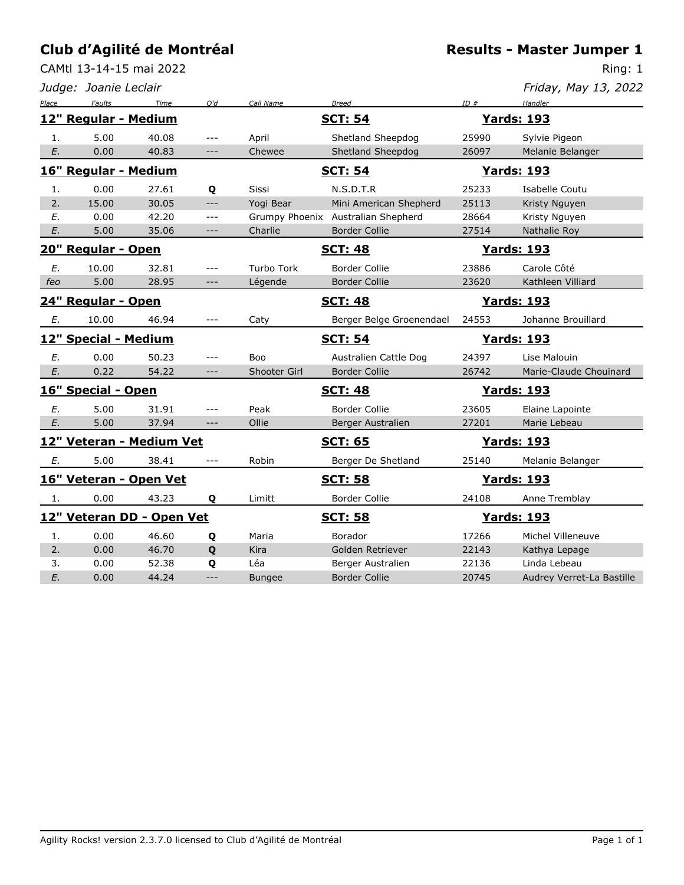CAMtl 13-14-15 mai 2022

**Results - Master Jumper 1**

|       | Judge: Joanie Leclair |                           |                      |                   |                                    |       | Friday, May 13, 2022      |
|-------|-----------------------|---------------------------|----------------------|-------------------|------------------------------------|-------|---------------------------|
| Place | <b>Faults</b>         | Time                      | Q'd                  | Call Name         | <b>Breed</b>                       | ID#   | Handler                   |
|       | 12" Regular - Medium  |                           |                      |                   | <b>SCT: 54</b>                     |       | <u>Yards: 193</u>         |
| 1.    | 5.00                  | 40.08                     | $---$                | April             | Shetland Sheepdog                  | 25990 | Sylvie Pigeon             |
| E.    | 0.00                  | 40.83                     | $---$                | Chewee            | Shetland Sheepdog                  | 26097 | Melanie Belanger          |
|       | 16" Regular - Medium  |                           |                      |                   | <b>SCT: 54</b>                     |       | <b>Yards: 193</b>         |
| 1.    | 0.00                  | 27.61                     | Q                    | Sissi             | N.S.D.T.R                          | 25233 | Isabelle Coutu            |
| 2.    | 15.00                 | 30.05                     | $---$                | Yogi Bear         | Mini American Shepherd             | 25113 | Kristy Nguyen             |
| E.    | 0.00                  | 42.20                     | $---$                |                   | Grumpy Phoenix Australian Shepherd | 28664 | Kristy Nguyen             |
| E.    | 5.00                  | 35.06                     | $---$                | Charlie           | <b>Border Collie</b>               | 27514 | Nathalie Roy              |
|       | 20" Regular - Open    |                           |                      |                   | <b>SCT: 48</b>                     |       | <b>Yards: 193</b>         |
| Е.    | 10.00                 | 32.81                     | $---$                | <b>Turbo Tork</b> | Border Collie                      | 23886 | Carole Côté               |
| feo   | 5.00                  | 28.95                     | $-\, -\, -$          | Légende           | <b>Border Collie</b>               | 23620 | Kathleen Villiard         |
|       | 24" Regular - Open    |                           |                      |                   | <b>SCT: 48</b>                     |       | <b>Yards: 193</b>         |
| Е.    | 10.00                 | 46.94                     | $---$                | Caty              | Berger Belge Groenendael           | 24553 | Johanne Brouillard        |
|       | 12" Special - Medium  |                           |                      |                   | <b>SCT: 54</b>                     |       | <b>Yards: 193</b>         |
| Ε.    | 0.00                  | 50.23                     | $---$                | Boo               | Australien Cattle Dog              | 24397 | Lise Malouin              |
| E.    | 0.22                  | 54.22                     | $---$                | Shooter Girl      | <b>Border Collie</b>               | 26742 | Marie-Claude Chouinard    |
|       | 16" Special - Open    |                           |                      |                   | <b>SCT: 48</b>                     |       | <b>Yards: 193</b>         |
| E.    | 5.00                  | 31.91                     | $---$                | Peak              | <b>Border Collie</b>               | 23605 | Elaine Lapointe           |
| E.    | 5.00                  | 37.94                     | $--\,$               | Ollie             | Berger Australien                  | 27201 | Marie Lebeau              |
|       |                       | 12" Veteran - Medium Vet  |                      |                   | <b>SCT: 65</b>                     |       | <u> Yards: 193</u>        |
| Е.    | 5.00                  | 38.41                     | $\sim$ $\sim$ $\sim$ | Robin             | Berger De Shetland                 | 25140 | Melanie Belanger          |
|       |                       | 16" Veteran - Open Vet    |                      |                   | <b>SCT: 58</b>                     |       | <b>Yards: 193</b>         |
| 1.    | 0.00                  | 43.23                     | Q                    | Limitt            | <b>Border Collie</b>               | 24108 | Anne Tremblay             |
|       |                       | 12" Veteran DD - Open Vet |                      |                   | <b>SCT: 58</b>                     |       | <u>Yards: 193</u>         |
| 1.    | 0.00                  | 46.60                     | Q                    | Maria             | Borador                            | 17266 | Michel Villeneuve         |
| 2.    | 0.00                  | 46.70                     | Q                    | Kira              | Golden Retriever                   | 22143 | Kathya Lepage             |
| 3.    | 0.00                  | 52.38                     | Q                    | Léa               | Berger Australien                  | 22136 | Linda Lebeau              |
| E.    | 0.00                  | 44.24                     | $---$                | <b>Bungee</b>     | <b>Border Collie</b>               | 20745 | Audrey Verret-La Bastille |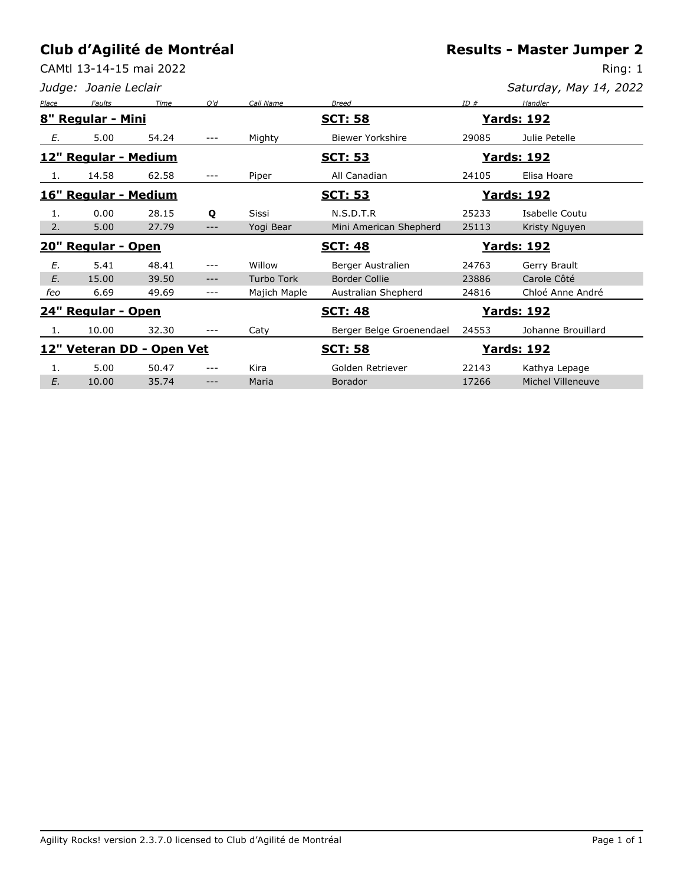CAMtl 13-14-15 mai 2022

|       | Judge: Joanie Leclair        |                           |     |                   |                          |       | Saturday, May 14, 2022 |
|-------|------------------------------|---------------------------|-----|-------------------|--------------------------|-------|------------------------|
| Place | Faults                       | Time                      | O'd | Call Name         | <b>Breed</b>             | ID#   | Handler                |
|       | 8" Regular - Mini            |                           |     |                   | <b>SCT: 58</b>           |       | <u> Yards: 192</u>     |
| Е.    | 5.00                         | 54.24                     | --- | Mighty            | Biewer Yorkshire         | 29085 | Julie Petelle          |
|       | 12" Regular - Medium         |                           |     |                   | <b>SCT: 53</b>           |       | <u> Yards: 192</u>     |
| 1.    | 14.58                        | 62.58                     | --- | Piper             | All Canadian             | 24105 | Elisa Hoare            |
|       | <u> 16" Regular - Medium</u> |                           |     |                   | <b>SCT: 53</b>           |       | <u> Yards: 192</u>     |
| 1.    | 0.00                         | 28.15                     | Q   | <b>Sissi</b>      | N.S.D.T.R                | 25233 | Isabelle Coutu         |
| 2.    | 5.00                         | 27.79                     | --- | Yogi Bear         | Mini American Shepherd   | 25113 | Kristy Nguyen          |
|       | <u> 20" Regular - Open</u>   |                           |     |                   | <b>SCT: 48</b>           |       | <u> Yards: 192</u>     |
| E.    | 5.41                         | 48.41                     |     | Willow            | Berger Australien        | 24763 | Gerry Brault           |
| E.    | 15.00                        | 39.50                     |     | <b>Turbo Tork</b> | <b>Border Collie</b>     | 23886 | Carole Côté            |
| feo   | 6.69                         | 49.69                     | --- | Majich Maple      | Australian Shepherd      | 24816 | Chloé Anne André       |
|       | 24" Regular - Open           |                           |     |                   | <b>SCT: 48</b>           |       | <u> Yards: 192</u>     |
| 1.    | 10.00                        | 32.30                     |     | Caty              | Berger Belge Groenendael | 24553 | Johanne Brouillard     |
|       |                              | 12" Veteran DD - Open Vet |     |                   | <b>SCT: 58</b>           |       | <u> Yards: 192</u>     |
| 1.    | 5.00                         | 50.47                     |     | Kira              | Golden Retriever         | 22143 | Kathya Lepage          |
| E.    | 10.00                        | 35.74                     | --- | Maria             | <b>Borador</b>           | 17266 | Michel Villeneuve      |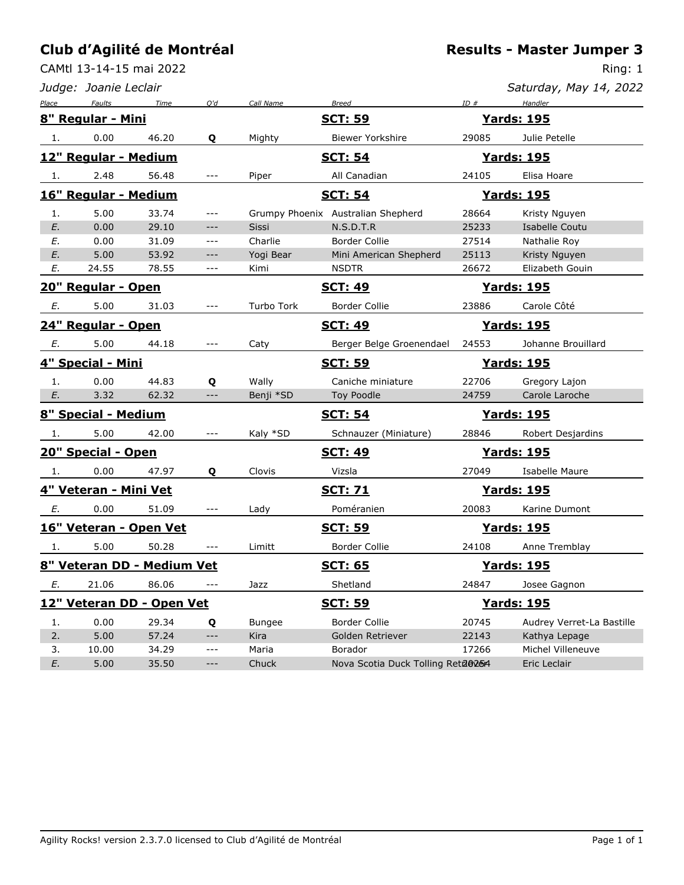CAMtl 13-14-15 mai 2022

|       | Judge: Joanie Leclair |                            |                     |               |                                    |       | Saturday, May 14, 2022    |
|-------|-----------------------|----------------------------|---------------------|---------------|------------------------------------|-------|---------------------------|
| Place | Faults                | Time                       | Q'd                 | Call Name     | <b>Breed</b>                       | ID#   | Handler                   |
|       | 8" Regular - Mini     |                            |                     |               | <u>SCT: 59</u>                     |       | <u> Yards: 195</u>        |
| 1.    | 0.00                  | 46.20                      | Q                   | Mighty        | <b>Biewer Yorkshire</b>            | 29085 | Julie Petelle             |
|       | 12" Regular - Medium  |                            |                     |               | <b>SCT: 54</b>                     |       | <u> Yards: 195</u>        |
| 1.    | 2.48                  | 56.48                      | ---                 | Piper         | All Canadian                       | 24105 | Elisa Hoare               |
|       | 16" Regular - Medium  |                            |                     |               | <b>SCT: 54</b>                     |       | <b>Yards: 195</b>         |
| 1.    | 5.00                  | 33.74                      | ---                 |               | Grumpy Phoenix Australian Shepherd | 28664 | Kristy Nguyen             |
| E.    | 0.00                  | 29.10                      | $---$               | Sissi         | N.S.D.T.R                          | 25233 | Isabelle Coutu            |
| Е.    | 0.00                  | 31.09                      | $---$               | Charlie       | <b>Border Collie</b>               | 27514 | Nathalie Roy              |
| E.    | 5.00                  | 53.92                      | $---$               | Yogi Bear     | Mini American Shepherd             | 25113 | Kristy Nguyen             |
| Е.    | 24.55                 | 78.55                      | ---                 | Kimi          | <b>NSDTR</b>                       | 26672 | Elizabeth Gouin           |
|       | 20" Regular - Open    |                            |                     |               | <b>SCT: 49</b>                     |       | <u> Yards: 195</u>        |
| Е.    | 5.00                  | 31.03                      | $---$               | Turbo Tork    | <b>Border Collie</b>               | 23886 | Carole Côté               |
|       | 24" Regular - Open    |                            |                     |               | <b>SCT: 49</b>                     |       | <b>Yards: 195</b>         |
| E.    | 5.00                  | 44.18                      | $---$               | Caty          | Berger Belge Groenendael           | 24553 | Johanne Brouillard        |
|       | 4" Special - Mini     |                            |                     |               | <u>SCT: 59</u>                     |       | <b>Yards: 195</b>         |
| 1.    | 0.00                  | 44.83                      | Q                   | Wally         | Caniche miniature                  | 22706 | Gregory Lajon             |
| E.    | 3.32                  | 62.32                      | $---$               | Benji *SD     | <b>Toy Poodle</b>                  | 24759 | Carole Laroche            |
|       | 8" Special - Medium   |                            |                     |               | <b>SCT: 54</b>                     |       | <u> Yards: 195</u>        |
| 1.    | 5.00                  | 42.00                      |                     | Kaly *SD      | Schnauzer (Miniature)              | 28846 | Robert Desjardins         |
|       | 20" Special - Open    |                            |                     |               | <u>SCT: 49</u>                     |       | <u> Yards: 195</u>        |
| 1.    | 0.00                  | 47.97                      | Q                   | Clovis        | Vizsla                             | 27049 | Isabelle Maure            |
|       | 4" Veteran - Mini Vet |                            |                     |               | <b>SCT: 71</b>                     |       | <u> Yards: 195</u>        |
| Е.    | 0.00                  | 51.09                      | $\qquad \qquad - -$ | Lady          | Poméranien                         | 20083 | Karine Dumont             |
|       |                       | 16" Veteran - Open Vet     |                     |               | <u>SCT: 59</u>                     |       | <b>Yards: 195</b>         |
| 1.    | 5.00                  | 50.28                      | $\qquad \qquad - -$ | Limitt        | <b>Border Collie</b>               | 24108 | Anne Tremblay             |
|       |                       | 8" Veteran DD - Medium Vet |                     |               | <b>SCT: 65</b>                     |       | <u>Yards: 195</u>         |
| E.    | 21.06                 | 86.06                      | ---                 | Jazz          | Shetland                           | 24847 | Josee Gagnon              |
|       |                       | 12" Veteran DD - Open Vet  |                     |               | <b>SCT: 59</b>                     |       | <b>Yards: 195</b>         |
| 1.    | 0.00                  | 29.34                      | Q                   | <b>Bungee</b> | Border Collie                      | 20745 | Audrey Verret-La Bastille |
| 2.    | 5.00                  | 57.24                      | $---$               | Kira          | Golden Retriever                   | 22143 | Kathya Lepage             |
| 3.    | 10.00                 | 34.29                      | $\qquad \qquad - -$ | Maria         | Borador                            | 17266 | Michel Villeneuve         |
| E.    | 5.00                  | 35.50                      | $---$               | Chuck         | Nova Scotia Duck Tolling Reta@254  |       | Eric Leclair              |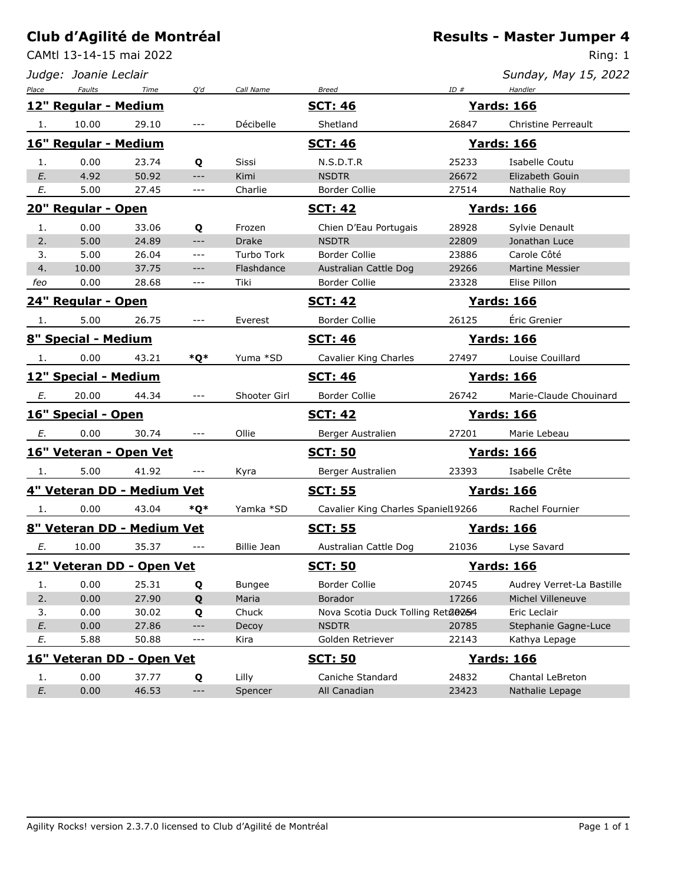CAMtl 13-14-15 mai 2022

*Judge: Joanie Leclair*

Ring: 1

*Sunday, May 15, 2022*

| Place |                      | Faults Time                | Q'd                  | Call Name     | <b>Breed</b>                       | $ID \#$ | Handler                   |
|-------|----------------------|----------------------------|----------------------|---------------|------------------------------------|---------|---------------------------|
|       | 12" Regular - Medium |                            |                      |               | <b>SCT: 46</b>                     |         | <u>Yards: 166</u>         |
| 1.    | 10.00                | 29.10                      | $\cdots$             | Décibelle     | Shetland                           | 26847   | Christine Perreault       |
|       | 16" Regular - Medium |                            |                      |               | <b>SCT: 46</b>                     |         | <b>Yards: 166</b>         |
| 1.    | 0.00                 | 23.74                      | Q                    | Sissi         | N.S.D.T.R                          | 25233   | Isabelle Coutu            |
| E.    | 4.92                 | 50.92                      | $---$                | Kimi          | <b>NSDTR</b>                       | 26672   | Elizabeth Gouin           |
| E.    | 5.00                 | 27.45                      | ---                  | Charlie       | Border Collie                      | 27514   | Nathalie Roy              |
|       | 20" Regular - Open   |                            |                      |               | <u>SCT: 42</u>                     |         | <b>Yards: 166</b>         |
| 1.    | 0.00                 | 33.06                      | Q                    | Frozen        | Chien D'Eau Portugais              | 28928   | Sylvie Denault            |
| 2.    | 5.00                 | 24.89                      | $---$                | <b>Drake</b>  | <b>NSDTR</b>                       | 22809   | Jonathan Luce             |
| 3.    | 5.00                 | 26.04                      | $---$                | Turbo Tork    | Border Collie                      | 23886   | Carole Côté               |
| 4.    | 10.00                | 37.75                      | ---                  | Flashdance    | Australian Cattle Dog              | 29266   | <b>Martine Messier</b>    |
| feo   | 0.00                 | 28.68                      | $\qquad \qquad - -$  | Tiki          | Border Collie                      | 23328   | Elise Pillon              |
|       | 24" Regular - Open   |                            |                      |               | <u>SCT: 42</u>                     |         | <u>Yards: 166</u>         |
| 1.    | 5.00                 | 26.75                      | $\cdots$             | Everest       | Border Collie                      | 26125   | Éric Grenier              |
|       | 8" Special - Medium  |                            |                      |               | <b>SCT: 46</b>                     |         | <b>Yards: 166</b>         |
| 1.    | 0.00                 | 43.21                      | *Q*                  | Yuma *SD      | Cavalier King Charles              | 27497   | Louise Couillard          |
|       | 12" Special - Medium |                            |                      |               | <b>SCT: 46</b>                     |         | <b>Yards: 166</b>         |
| E.    | 20.00                | 44.34                      | $\sim$ $\sim$ $\sim$ | Shooter Girl  | Border Collie                      | 26742   | Marie-Claude Chouinard    |
|       | 16" Special - Open   |                            |                      |               | <b>SCT: 42</b>                     |         | <u> Yards: 166</u>        |
| Е.    | 0.00                 | 30.74                      | $\sim$ $\sim$ $\sim$ | Ollie         | Berger Australien                  | 27201   | Marie Lebeau              |
|       |                      | 16" Veteran - Open Vet     |                      |               | <b>SCT: 50</b>                     |         | <b>Yards: 166</b>         |
| 1.    | 5.00                 | 41.92                      | $- - -$              | Kyra          | Berger Australien                  | 23393   | Isabelle Crête            |
|       |                      | 4" Veteran DD - Medium Vet |                      |               | <b>SCT: 55</b>                     |         | <b>Yards: 166</b>         |
| 1.    | 0.00                 | 43.04                      | *Q*                  | Yamka *SD     | Cavalier King Charles Spaniel19266 |         | Rachel Fournier           |
|       |                      | 8" Veteran DD - Medium Vet |                      |               | <b>SCT: 55</b>                     |         | <b>Yards: 166</b>         |
| Е.    | 10.00                | 35.37                      | $\sim$ $\sim$ $\sim$ | Billie Jean   | Australian Cattle Dog              | 21036   | Lyse Savard               |
|       |                      | 12" Veteran DD - Open Vet  |                      |               | <b>SCT: 50</b>                     |         | <u>Yards: 166</u>         |
| 1.    | 0.00                 | 25.31                      | Q                    | <b>Bungee</b> | Border Collie                      | 20745   | Audrey Verret-La Bastille |
| 2.    | 0.00                 | 27.90                      | Q                    | Maria         | Borador                            | 17266   | Michel Villeneuve         |
| 3.    | 0.00                 | 30.02                      | Q                    | Chuck         | Nova Scotia Duck Tolling Reta@254  |         | Eric Leclair              |
| E.    | 0.00                 | 27.86                      | ---                  | Decoy         | <b>NSDTR</b>                       | 20785   | Stephanie Gagne-Luce      |
| E.    | 5.88                 | 50.88                      | ---                  | Kira          | Golden Retriever                   | 22143   | Kathya Lepage             |
|       |                      | 16" Veteran DD - Open Vet  |                      |               | <b>SCT: 50</b>                     |         | <b>Yards: 166</b>         |
| 1.    | 0.00                 | 37.77                      | Q                    | Lilly         | Caniche Standard                   | 24832   | Chantal LeBreton          |

*E.* 0.00 46.53 --- Spencer All Canadian 23423 Nathalie Lepage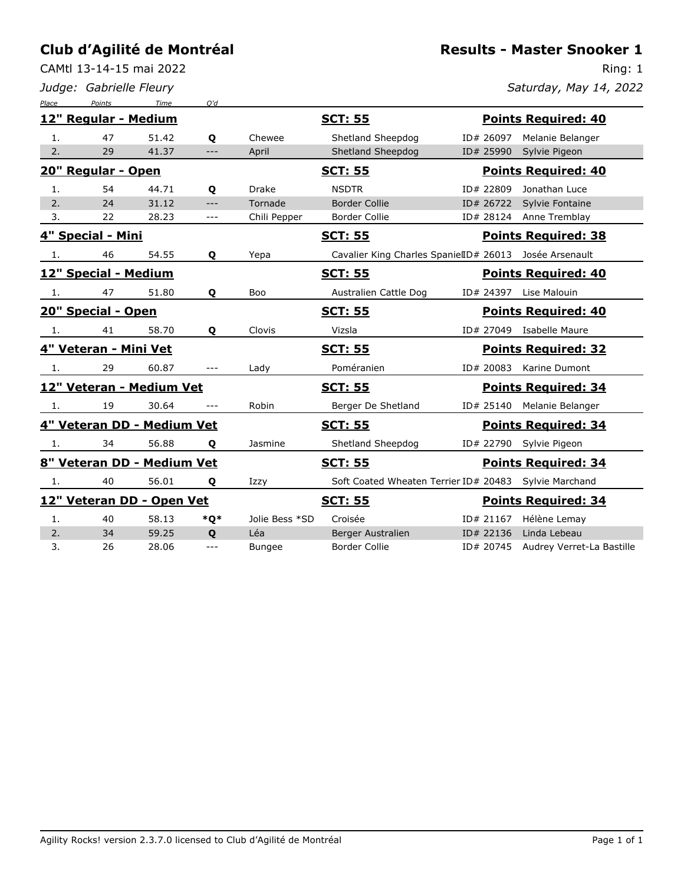CAMtl 13-14-15 mai 2022

*Judge: Gabrielle Fleury*

**Results - Master Snooker 1**

Ring: 1

*Saturday, May 14, 2022*

| Place | Points                     | Time  | O'd          |                |                                                        |           |                            |
|-------|----------------------------|-------|--------------|----------------|--------------------------------------------------------|-----------|----------------------------|
|       | 12" Regular - Medium       |       |              |                | <b>SCT: 55</b>                                         |           | <b>Points Required: 40</b> |
| 1.    | 47                         | 51.42 | Q            | Chewee         | Shetland Sheepdog                                      | ID# 26097 | Melanie Belanger           |
| 2.    | 29                         | 41.37 | ---          | April          | Shetland Sheepdog                                      | ID# 25990 | Sylvie Pigeon              |
|       | 20" Regular - Open         |       |              |                | <b>SCT: 55</b>                                         |           | <b>Points Required: 40</b> |
| 1.    | 54                         | 44.71 | Q            | Drake          | <b>NSDTR</b>                                           | ID# 22809 | Jonathan Luce              |
| 2.    | 24                         | 31.12 | $---$        | Tornade        | <b>Border Collie</b>                                   | ID# 26722 | Sylvie Fontaine            |
| 3.    | 22                         | 28.23 | $---$        | Chili Pepper   | <b>Border Collie</b>                                   | ID# 28124 | Anne Tremblay              |
|       | 4" Special - Mini          |       |              |                | <b>SCT: 55</b>                                         |           | <b>Points Required: 38</b> |
| 1.    | 46                         | 54.55 | Q            | Yepa           | Cavalier King Charles SpanielID# 26013                 |           | Josée Arsenault            |
|       | 12" Special - Medium       |       |              |                | <b>SCT: 55</b>                                         |           | <b>Points Required: 40</b> |
| 1.    | 47                         | 51.80 | Q            | Boo            | Australien Cattle Dog                                  | ID# 24397 | Lise Malouin               |
|       | 20" Special - Open         |       |              |                | <u>SCT: 55</u>                                         |           | <b>Points Required: 40</b> |
| -1.   | 41                         | 58.70 | Q            | Clovis         | Vizsla                                                 |           | ID# 27049 Isabelle Maure   |
|       | 4" Veteran - Mini Vet      |       |              |                | <u>SCT: 55</u>                                         |           | <b>Points Required: 32</b> |
| -1.   | 29                         | 60.87 | ---          | Lady           | Poméranien                                             | ID# 20083 | Karine Dumont              |
|       | 12" Veteran - Medium Vet   |       |              |                | <b>SCT: 55</b>                                         |           | <b>Points Required: 34</b> |
| 1.    | 19                         | 30.64 | $- - -$      | Robin          | Berger De Shetland                                     |           | ID# 25140 Melanie Belanger |
|       | 4" Veteran DD - Medium Vet |       |              |                | <b>SCT: 55</b>                                         |           | <b>Points Required: 34</b> |
| 1.    | 34                         | 56.88 | $\mathbf{o}$ | Jasmine        | Shetland Sheepdog                                      | ID# 22790 | Sylvie Pigeon              |
|       | 8" Veteran DD - Medium Vet |       |              |                | <b>SCT: 55</b>                                         |           | <b>Points Required: 34</b> |
| 1.    | 40                         | 56.01 | Q            | Izzy           | Soft Coated Wheaten Terrier ID# 20483  Sylvie Marchand |           |                            |
|       | 12" Veteran DD - Open Vet  |       |              |                | <b>SCT: 55</b>                                         |           | <b>Points Required: 34</b> |
| 1.    | 40                         | 58.13 | *Q*          | Jolie Bess *SD | Croisée                                                | ID# 21167 | Hélène Lemay               |
| 2.    | 34                         | 59.25 | Q            | Léa            | Berger Australien                                      | ID# 22136 | Linda Lebeau               |
| 3.    | 26                         | 28.06 | ---          | <b>Bungee</b>  | <b>Border Collie</b>                                   | ID# 20745 | Audrey Verret-La Bastille  |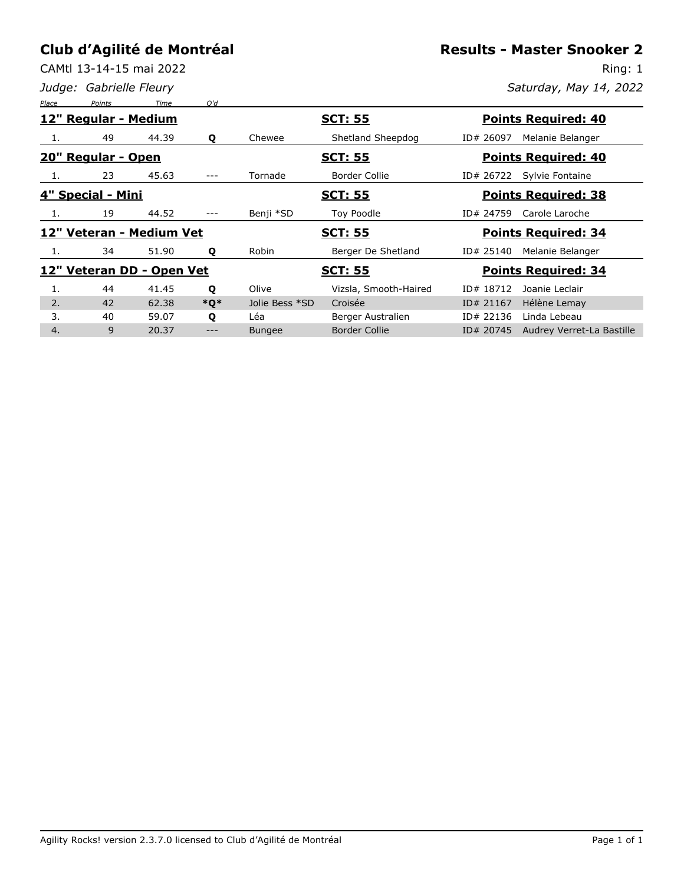CAMtl 13-14-15 mai 2022

*Judge: Gabrielle Fleury*

**Results - Master Snooker 2**

Ring: 1 *Saturday, May 14, 2022*

| Place | Points               | Time                      | O'd    |                |                       |                                        |  |  |
|-------|----------------------|---------------------------|--------|----------------|-----------------------|----------------------------------------|--|--|
|       | 12" Regular - Medium |                           |        |                | <b>SCT: 55</b>        | <b>Points Required: 40</b>             |  |  |
| 1.    | 49                   | 44.39                     | Q      | Chewee         | Shetland Sheepdog     | Melanie Belanger<br>ID# 26097          |  |  |
|       | 20" Regular - Open   |                           |        |                | <b>SCT: 55</b>        | <b>Points Required: 40</b>             |  |  |
| -1.   | 23                   | 45.63                     | ---    | Tornade        | Border Collie         | ID# 26722<br>Sylvie Fontaine           |  |  |
|       | 4" Special - Mini    |                           |        |                | <u>SCT: 55</u>        | <b>Points Required: 38</b>             |  |  |
| 1.    | 19                   | 44.52                     |        | Benji *SD      | Toy Poodle            | Carole Laroche<br>ID# 24759            |  |  |
|       |                      | 12" Veteran - Medium Vet  |        |                | <b>SCT: 55</b>        | <b>Points Required: 34</b>             |  |  |
| 1.    | 34                   | 51.90                     | Q      | Robin          | Berger De Shetland    | Melanie Belanger<br>ID# 25140          |  |  |
|       |                      | 12" Veteran DD - Open Vet |        |                | <u>SCT: 55</u>        | <b>Points Required: 34</b>             |  |  |
| 1.    | 44                   | 41.45                     | Q      | Olive          | Vizsla, Smooth-Haired | ID# 18712<br>Joanie Leclair            |  |  |
| 2.    | 42                   | 62.38                     | $*$ O* | Jolie Bess *SD | Croisée               | Hélène Lemay<br>ID# 21167              |  |  |
| 3.    | 40                   | 59.07                     | Q      | Léa            | Berger Australien     | ID# 22136<br>Linda Lebeau              |  |  |
| 4.    | 9                    | 20.37                     | ---    | <b>Bungee</b>  | <b>Border Collie</b>  | ID# 20745<br>Audrey Verret-La Bastille |  |  |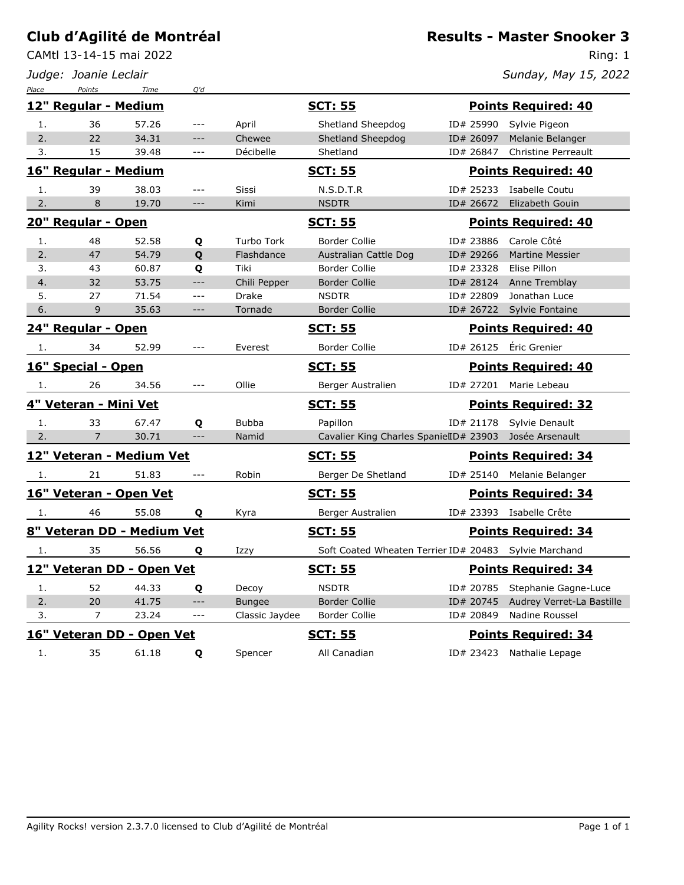*Place Points Time Q'd*

CAMtl 13-14-15 mai 2022

*Judge: Joanie Leclair*

#### **Results - Master Snooker 3**

Ring: 1 *Sunday, May 15, 2022*

|     | 12" Regular - Medium       |       |                      |                   | <u>SCT: 55</u>                                          |           | <b>Points Required: 40</b> |
|-----|----------------------------|-------|----------------------|-------------------|---------------------------------------------------------|-----------|----------------------------|
| 1.  | 36                         | 57.26 | $\qquad \qquad - -$  | April             | Shetland Sheepdog                                       | ID# 25990 | Sylvie Pigeon              |
| 2.  | 22                         | 34.31 | $\qquad \qquad - -$  | Chewee            | Shetland Sheepdog                                       | ID# 26097 | Melanie Belanger           |
| 3.  | 15                         | 39.48 | $\qquad \qquad - -$  | Décibelle         | Shetland                                                | ID# 26847 | <b>Christine Perreault</b> |
|     | 16" Regular - Medium       |       |                      |                   | <u>SCT: 55</u>                                          |           | <b>Points Required: 40</b> |
| 1.  | 39                         | 38.03 | $ -$                 | Sissi             | N.S.D.T.R                                               | ID# 25233 | Isabelle Coutu             |
| 2.  | 8                          | 19.70 | $---$                | Kimi              | <b>NSDTR</b>                                            | ID# 26672 | Elizabeth Gouin            |
|     | 20" Regular - Open         |       |                      |                   | <b>SCT: 55</b>                                          |           | <b>Points Required: 40</b> |
| 1.  | 48                         | 52.58 | Q                    | <b>Turbo Tork</b> | <b>Border Collie</b>                                    | ID# 23886 | Carole Côté                |
| 2.  | 47                         | 54.79 | Q                    | Flashdance        | Australian Cattle Dog                                   | ID# 29266 | <b>Martine Messier</b>     |
| 3.  | 43                         | 60.87 | Q                    | Tiki              | Border Collie                                           | ID# 23328 | Elise Pillon               |
| 4.  | 32                         | 53.75 | $---$                | Chili Pepper      | <b>Border Collie</b>                                    | ID# 28124 | Anne Tremblay              |
| 5.  | 27                         | 71.54 | $ -$                 | Drake             | <b>NSDTR</b>                                            | ID# 22809 | Jonathan Luce              |
| 6.  | 9                          | 35.63 | $\qquad \qquad - -$  | Tornade           | <b>Border Collie</b>                                    | ID# 26722 | Sylvie Fontaine            |
|     | 24" Regular - Open         |       |                      |                   | <u>SCT: 55</u>                                          |           | <b>Points Required: 40</b> |
| 1.  | 34                         | 52.99 | $---$                | Everest           | Border Collie                                           | ID# 26125 | Éric Grenier               |
|     | 16" Special - Open         |       |                      |                   | <u>SCT: 55</u>                                          |           | <b>Points Required: 40</b> |
| 1.  | 26                         | 34.56 | $---$                | Ollie             | Berger Australien                                       | ID# 27201 | Marie Lebeau               |
|     | 4" Veteran - Mini Vet      |       |                      |                   | <u>SCT: 55</u>                                          |           | <b>Points Required: 32</b> |
| 1.  | 33                         | 67.47 | Q                    | <b>Bubba</b>      | Papillon                                                | ID# 21178 | Sylvie Denault             |
| 2.  | $\overline{7}$             | 30.71 | $---$                | Namid             | Cavalier King Charles SpanielID# 23903                  |           | Josée Arsenault            |
|     | 12" Veteran - Medium Vet   |       |                      |                   | <b>SCT: 55</b>                                          |           | <b>Points Required: 34</b> |
| -1. | 21                         | 51.83 | $\sim$ $\sim$ $\sim$ | Robin             | Berger De Shetland                                      |           | ID# 25140 Melanie Belanger |
|     | 16" Veteran - Open Vet     |       |                      |                   | <b>SCT: 55</b>                                          |           | <b>Points Required: 34</b> |
| 1.  | 46                         | 55.08 | Q                    | Kyra              | Berger Australien                                       |           | ID# 23393 Isabelle Crête   |
|     | 8" Veteran DD - Medium Vet |       |                      |                   | <b>SCT: 55</b>                                          |           | <b>Points Required: 34</b> |
| 1.  | 35                         | 56.56 | Q                    | Izzy              | Soft Coated Wheaten Terrier ID# 20483   Sylvie Marchand |           |                            |
|     | 12" Veteran DD - Open Vet  |       |                      |                   | <u>SCT: 55</u>                                          |           | <b>Points Required: 34</b> |
| 1.  | 52                         | 44.33 | Q                    | Decoy             | <b>NSDTR</b>                                            | ID# 20785 | Stephanie Gagne-Luce       |
| 2.  | 20                         | 41.75 | $---$                | <b>Bungee</b>     | <b>Border Collie</b>                                    | ID# 20745 | Audrey Verret-La Bastille  |
| 3.  | 7                          | 23.24 | $ -$                 | Classic Jaydee    | <b>Border Collie</b>                                    | ID# 20849 | Nadine Roussel             |
|     | 16" Veteran DD - Open Vet  |       |                      |                   | <b>SCT: 55</b>                                          |           | <b>Points Required: 34</b> |
| 1.  | 35                         | 61.18 | Q                    | Spencer           | All Canadian                                            |           | ID# 23423 Nathalie Lepage  |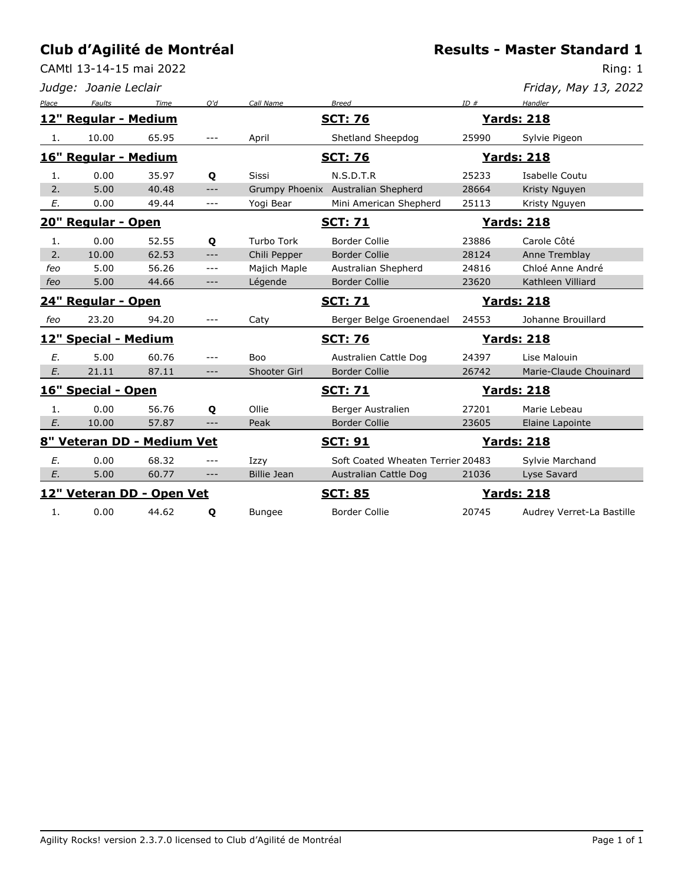CAMtl 13-14-15 mai 2022

**Results - Master Standard 1**

|       | Judge: Joanie Leclair      |       |         |                    |                                    |       | Friday, May 13, 2022      |
|-------|----------------------------|-------|---------|--------------------|------------------------------------|-------|---------------------------|
| Place | <b>Faults</b>              | Time  | O'd     | Call Name          | <b>Breed</b>                       | ID#   | Handler                   |
|       | 12" Regular - Medium       |       |         |                    | <b>SCT: 76</b>                     |       | <b>Yards: 218</b>         |
| 1.    | 10.00                      | 65.95 | $- - -$ | April              | Shetland Sheepdog                  | 25990 | Sylvie Pigeon             |
|       | 16" Regular - Medium       |       |         |                    | <b>SCT: 76</b>                     |       | <u> Yards: 218</u>        |
| 1.    | 0.00                       | 35.97 | Q       | <b>Sissi</b>       | N.S.D.T.R                          | 25233 | Isabelle Coutu            |
| 2.    | 5.00                       | 40.48 | $---$   |                    | Grumpy Phoenix Australian Shepherd | 28664 | Kristy Nguyen             |
| Е.    | 0.00                       | 49.44 | $---$   | Yogi Bear          | Mini American Shepherd             | 25113 | Kristy Nguyen             |
|       | 20" Regular - Open         |       |         |                    | <b>SCT: 71</b>                     |       | <b>Yards: 218</b>         |
| 1.    | 0.00                       | 52.55 | Q       | <b>Turbo Tork</b>  | <b>Border Collie</b>               | 23886 | Carole Côté               |
| 2.    | 10.00                      | 62.53 | $---$   | Chili Pepper       | <b>Border Collie</b>               | 28124 | Anne Tremblay             |
| feo   | 5.00                       | 56.26 | $---$   | Majich Maple       | Australian Shepherd                | 24816 | Chloé Anne André          |
| feo   | 5.00                       | 44.66 | $---$   | Légende            | <b>Border Collie</b>               | 23620 | Kathleen Villiard         |
|       | 24" Regular - Open         |       |         |                    | <b>SCT: 71</b>                     |       | <b>Yards: 218</b>         |
| feo   | 23.20                      | 94.20 | $---$   | Caty               | Berger Belge Groenendael           | 24553 | Johanne Brouillard        |
|       | 12" Special - Medium       |       |         |                    | <b>SCT: 76</b>                     |       | <b>Yards: 218</b>         |
| E.    | 5.00                       | 60.76 | $---$   | <b>Boo</b>         | Australien Cattle Dog              | 24397 | Lise Malouin              |
| E.    | 21.11                      | 87.11 | $---$   | Shooter Girl       | <b>Border Collie</b>               | 26742 | Marie-Claude Chouinard    |
|       | 16" Special - Open         |       |         |                    | <b>SCT: 71</b>                     |       | <b>Yards: 218</b>         |
| 1.    | 0.00                       | 56.76 | Q       | Ollie              | Berger Australien                  | 27201 | Marie Lebeau              |
| E.    | 10.00                      | 57.87 | $---$   | Peak               | <b>Border Collie</b>               | 23605 | Elaine Lapointe           |
|       | 8" Veteran DD - Medium Vet |       |         |                    | <u>SCT: 91</u>                     |       | <b>Yards: 218</b>         |
| E.    | 0.00                       | 68.32 | $---$   | Izzy               | Soft Coated Wheaten Terrier 20483  |       | Sylvie Marchand           |
| Ε.    | 5.00                       | 60.77 | $---$   | <b>Billie Jean</b> | Australian Cattle Dog              | 21036 | Lyse Savard               |
|       | 12" Veteran DD - Open Vet  |       |         |                    | <b>SCT: 85</b>                     |       | <b>Yards: 218</b>         |
| 1.    | 0.00                       | 44.62 | Q       | <b>Bungee</b>      | <b>Border Collie</b>               | 20745 | Audrey Verret-La Bastille |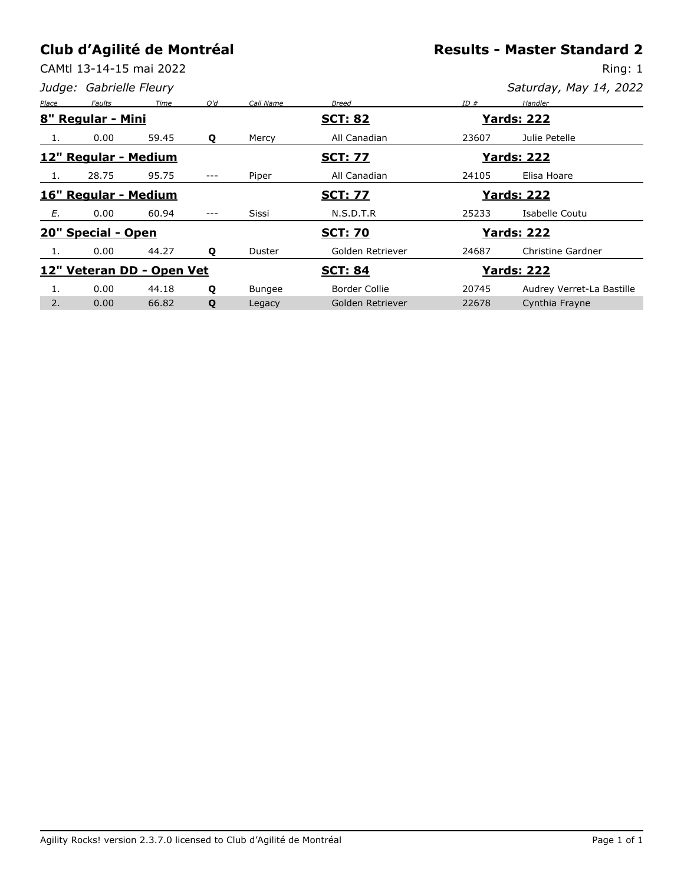CAMtl 13-14-15 mai 2022

**Results - Master Standard 2**

|       | Judge: Gabrielle Fleury |                           |     |           |                                     |       | Saturday, May 14, 2022    |
|-------|-------------------------|---------------------------|-----|-----------|-------------------------------------|-------|---------------------------|
| Place | Faults                  | Time                      | O'd | Call Name | <b>Breed</b>                        | ID#   | Handler                   |
|       | 8" Regular - Mini       |                           |     |           | <b>SCT: 82</b>                      |       | <b>Yards: 222</b>         |
| 1.    | 0.00                    | 59.45                     | Q   | Mercy     | All Canadian                        | 23607 | Julie Petelle             |
|       | 12" Regular - Medium    |                           |     |           | <b>SCT: 77</b>                      |       | <b>Yards: 222</b>         |
| 1.    | 28.75                   | 95.75                     | --- | Piper     | All Canadian                        | 24105 | Elisa Hoare               |
|       | 16" Regular - Medium    |                           |     |           | <u>SCT: 77</u>                      |       | <b>Yards: 222</b>         |
| E.    | 0.00                    | 60.94                     | --- | Sissi     | N.S.D.T.R                           | 25233 | Isabelle Coutu            |
|       | 20" Special - Open      |                           |     |           | <b>SCT: 70</b><br><b>Yards: 222</b> |       |                           |
|       | 0.00                    | 44.27                     | Q   | Duster    | Golden Retriever                    | 24687 | Christine Gardner         |
|       |                         | 12" Veteran DD - Open Vet |     |           | <b>SCT: 84</b>                      |       | <u> Yards: 222</u>        |
|       | 0.00                    | 44.18                     | Q   | Bungee    | Border Collie                       | 20745 | Audrey Verret-La Bastille |
| 2.    | 0.00                    | 66.82                     | Q   | Legacy    | Golden Retriever                    | 22678 | Cynthia Frayne            |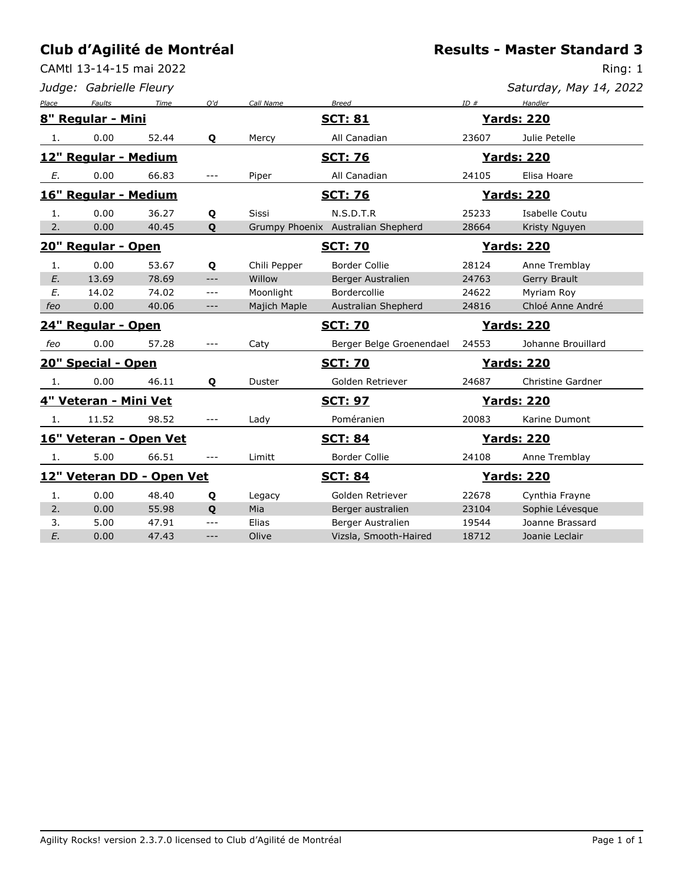CAMtl 13-14-15 mai 2022

|       | Judge: Gabrielle Fleury |                           |              |              |                                    |       | Saturday, May 14, 2022   |
|-------|-------------------------|---------------------------|--------------|--------------|------------------------------------|-------|--------------------------|
| Place | Faults                  | Time                      | Q'd          | Call Name    | <b>Breed</b>                       | ID#   | Handler                  |
|       | 8" Regular - Mini       |                           |              |              | <b>SCT: 81</b>                     |       | <b>Yards: 220</b>        |
| 1.    | 0.00                    | 52.44                     | Q            | Mercy        | All Canadian                       | 23607 | Julie Petelle            |
|       | 12" Regular - Medium    |                           |              |              | <b>SCT: 76</b>                     |       | <b>Yards: 220</b>        |
| Е.    | 0.00                    | 66.83                     | $---$        | Piper        | All Canadian                       | 24105 | Elisa Hoare              |
|       | 16" Regular - Medium    |                           |              |              | <b>SCT: 76</b>                     |       | <b>Yards: 220</b>        |
| 1.    | 0.00                    | 36.27                     | Q            | <b>Sissi</b> | N.S.D.T.R                          | 25233 | Isabelle Coutu           |
| 2.    | 0.00                    | 40.45                     | Q            |              | Grumpy Phoenix Australian Shepherd | 28664 | Kristy Nguyen            |
|       | 20" Regular - Open      |                           |              |              | <b>SCT: 70</b>                     |       | <b>Yards: 220</b>        |
| 1.    | 0.00                    | 53.67                     | Q            | Chili Pepper | <b>Border Collie</b>               | 28124 | Anne Tremblay            |
| E.    | 13.69                   | 78.69                     | $---$        | Willow       | Berger Australien                  | 24763 | Gerry Brault             |
| E.    | 14.02                   | 74.02                     | $\cdots$     | Moonlight    | Bordercollie                       | 24622 | Myriam Roy               |
| feo   | 0.00                    | 40.06                     | ---          | Majich Maple | Australian Shepherd                | 24816 | Chloé Anne André         |
|       | 24" Regular - Open      |                           |              |              | <b>SCT: 70</b>                     |       | <b>Yards: 220</b>        |
| feo   | 0.00                    | 57.28                     | $---$        | Caty         | Berger Belge Groenendael           | 24553 | Johanne Brouillard       |
|       | 20" Special - Open      |                           |              |              | <b>SCT: 70</b>                     |       | <b>Yards: 220</b>        |
| 1.    | 0.00                    | 46.11                     | Q            | Duster       | Golden Retriever                   | 24687 | <b>Christine Gardner</b> |
|       | 4" Veteran - Mini Vet   |                           |              |              | <b>SCT: 97</b>                     |       | <b>Yards: 220</b>        |
| 1.    | 11.52                   | 98.52                     | ---          | Lady         | Poméranien                         | 20083 | Karine Dumont            |
|       |                         | 16" Veteran - Open Vet    |              |              | <b>SCT: 84</b>                     |       | <b>Yards: 220</b>        |
| -1.   | 5.00                    | 66.51                     | ---          | Limitt       | <b>Border Collie</b>               | 24108 | Anne Tremblay            |
|       |                         | 12" Veteran DD - Open Vet |              |              | <b>SCT: 84</b>                     |       | <b>Yards: 220</b>        |
| 1.    | 0.00                    | 48.40                     | Q            | Legacy       | Golden Retriever                   | 22678 | Cynthia Frayne           |
| 2.    | 0.00                    | 55.98                     | $\mathbf{Q}$ | Mia          | Berger australien                  | 23104 | Sophie Lévesque          |
| 3.    | 5.00                    | 47.91                     | ---          | Elias        | Berger Australien                  | 19544 | Joanne Brassard          |
| E.    | 0.00                    | 47.43                     | ---          | Olive        | Vizsla, Smooth-Haired              | 18712 | Joanie Leclair           |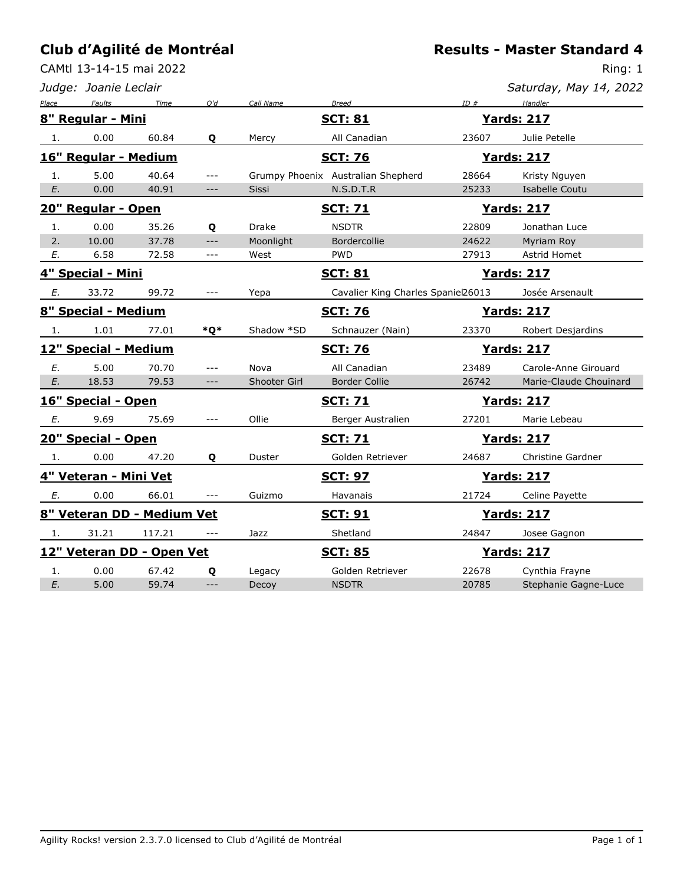CAMtl 13-14-15 mai 2022

**Results - Master Standard 4**

|                            | Judge: Joanie Leclair     |        |                      |              |                                    |       | Saturday, May 14, 2022 |
|----------------------------|---------------------------|--------|----------------------|--------------|------------------------------------|-------|------------------------|
| Place                      | Faults                    | Time   | O'd                  | Call Name    | <b>Breed</b>                       | ID#   | Handler                |
|                            | 8" Regular - Mini         |        |                      |              | <b>SCT: 81</b>                     |       | <b>Yards: 217</b>      |
| 1.                         | 0.00                      | 60.84  | Q                    | Mercy        | All Canadian                       | 23607 | Julie Petelle          |
|                            | 16" Regular - Medium      |        |                      |              | <b>SCT: 76</b>                     |       | <b>Yards: 217</b>      |
| 1.                         | 5.00                      | 40.64  | $---$                |              | Grumpy Phoenix Australian Shepherd | 28664 | Kristy Nguyen          |
| E.                         | 0.00                      | 40.91  | ---                  | <b>Sissi</b> | N.S.D.T.R                          | 25233 | Isabelle Coutu         |
|                            | 20" Regular - Open        |        |                      |              | <b>SCT: 71</b>                     |       | <b>Yards: 217</b>      |
| 1.                         | 0.00                      | 35.26  | Q                    | <b>Drake</b> | <b>NSDTR</b>                       | 22809 | Jonathan Luce          |
| 2.                         | 10.00                     | 37.78  | $---$                | Moonlight    | Bordercollie                       | 24622 | Myriam Roy             |
| Е.                         | 6.58                      | 72.58  | $\sim$ $\sim$ $\sim$ | West         | <b>PWD</b>                         | 27913 | Astrid Homet           |
|                            | 4" Special - Mini         |        |                      |              | <u>SCT: 81</u>                     |       | <u>Yards: 217</u>      |
| Е.                         | 33.72                     | 99.72  | $---$                | Yepa         | Cavalier King Charles Spaniel26013 |       | Josée Arsenault        |
|                            | 8" Special - Medium       |        |                      |              | <b>SCT: 76</b>                     |       | <b>Yards: 217</b>      |
| 1.                         | 1.01                      | 77.01  | *Q*                  | Shadow *SD   | Schnauzer (Nain)                   | 23370 | Robert Desjardins      |
|                            | 12" Special - Medium      |        |                      |              | <b>SCT: 76</b>                     |       | <b>Yards: 217</b>      |
| E.                         | 5.00                      | 70.70  | $ -$                 | Nova         | All Canadian                       | 23489 | Carole-Anne Girouard   |
| E.                         | 18.53                     | 79.53  | $---$                | Shooter Girl | <b>Border Collie</b>               | 26742 | Marie-Claude Chouinard |
|                            | 16" Special - Open        |        |                      |              | <b>SCT: 71</b>                     |       | <b>Yards: 217</b>      |
| Е.                         | 9.69                      | 75.69  | $---$                | Ollie        | Berger Australien                  | 27201 | Marie Lebeau           |
|                            | 20" Special - Open        |        |                      |              | <b>SCT: 71</b>                     |       | <b>Yards: 217</b>      |
| 1.                         | 0.00                      | 47.20  | Q                    | Duster       | Golden Retriever                   | 24687 | Christine Gardner      |
|                            | 4" Veteran - Mini Vet     |        |                      |              | <b>SCT: 97</b>                     |       | <b>Yards: 217</b>      |
| E.                         | 0.00                      | 66.01  | $---$                | Guizmo       | Havanais                           | 21724 | Celine Payette         |
| 8" Veteran DD - Medium Vet |                           |        |                      |              | <b>SCT: 91</b>                     |       | <b>Yards: 217</b>      |
| 1.                         | 31.21                     | 117.21 |                      | Jazz         | Shetland                           | 24847 | Josee Gagnon           |
|                            | 12" Veteran DD - Open Vet |        |                      |              | <u>SCT: 85</u>                     |       | <b>Yards: 217</b>      |
| 1.                         | 0.00                      | 67.42  | Q                    | Legacy       | Golden Retriever                   | 22678 | Cynthia Frayne         |
| E.                         | 5.00                      | 59.74  | $---$                | Decoy        | <b>NSDTR</b>                       | 20785 | Stephanie Gagne-Luce   |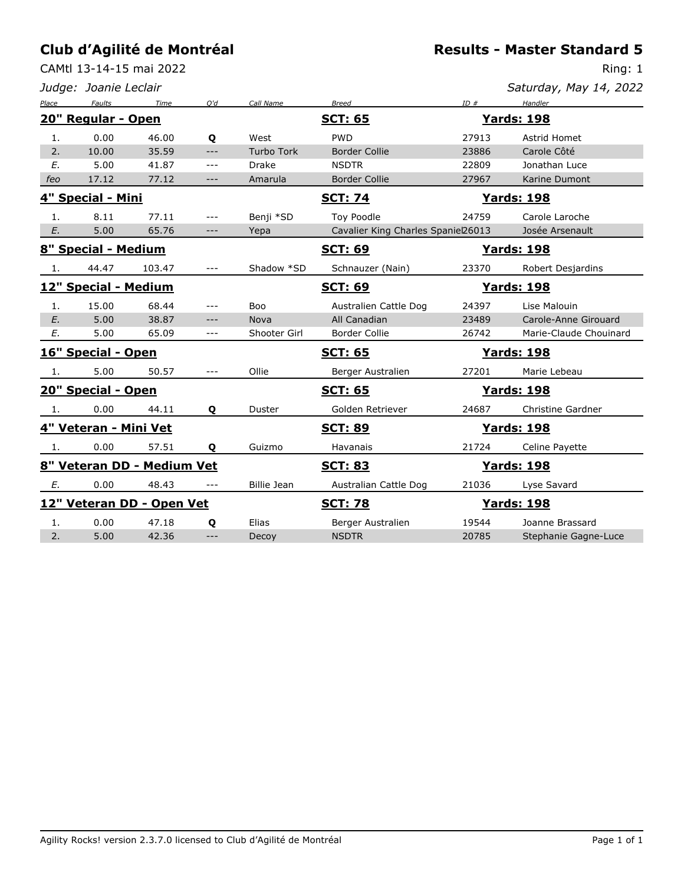CAMtl 13-14-15 mai 2022

|  |  |  |  |  | <b>Results - Master Standard 5</b> |  |
|--|--|--|--|--|------------------------------------|--|
|--|--|--|--|--|------------------------------------|--|

|                      | Judge: Joanie Leclair    |                            |                     |                    |                                    |       | Saturday, May 14, 2022 |
|----------------------|--------------------------|----------------------------|---------------------|--------------------|------------------------------------|-------|------------------------|
| Place                | Faults                   | Time                       | O'd                 | Call Name          | <b>Breed</b>                       | ID#   | Handler                |
|                      | 20" Regular - Open       |                            |                     |                    | <b>SCT: 65</b>                     |       | <u> Yards: 198</u>     |
| 1.                   | 0.00                     | 46.00                      | Q                   | West               | <b>PWD</b>                         | 27913 | Astrid Homet           |
| 2.                   | 10.00                    | 35.59                      | $---$               | <b>Turbo Tork</b>  | <b>Border Collie</b>               | 23886 | Carole Côté            |
| E.                   | 5.00                     | 41.87                      | $\qquad \qquad - -$ | <b>Drake</b>       | <b>NSDTR</b>                       | 22809 | Jonathan Luce          |
| feo                  | 17.12                    | 77.12                      | $---$               | Amarula            | <b>Border Collie</b>               | 27967 | Karine Dumont          |
|                      | <u>4" Special - Mini</u> |                            |                     |                    | <b>SCT: 74</b>                     |       | <b>Yards: 198</b>      |
| 1.                   | 8.11                     | 77.11                      | ---                 | Benji *SD          | Toy Poodle                         | 24759 | Carole Laroche         |
| E.                   | 5.00                     | 65.76                      | $-\, -\, -$         | Yepa               | Cavalier King Charles Spaniel26013 |       | Josée Arsenault        |
|                      | 8" Special - Medium      |                            |                     |                    | <b>SCT: 69</b>                     |       | <b>Yards: 198</b>      |
| 1.                   | 44.47                    | 103.47                     | $---$               | Shadow *SD         | Schnauzer (Nain)                   | 23370 | Robert Desjardins      |
| 12" Special - Medium |                          |                            |                     |                    | <b>SCT: 69</b>                     |       | <b>Yards: 198</b>      |
| 1.                   | 15.00                    | 68.44                      | $- - -$             | Boo                | Australien Cattle Dog              | 24397 | Lise Malouin           |
| E.                   | 5.00                     | 38.87                      | $---$               | Nova               | All Canadian                       | 23489 | Carole-Anne Girouard   |
| Е.                   | 5.00                     | 65.09                      | $- - -$             | Shooter Girl       | <b>Border Collie</b>               | 26742 | Marie-Claude Chouinard |
|                      | 16" Special - Open       |                            |                     |                    | <b>SCT: 65</b>                     |       | <b>Yards: 198</b>      |
| -1.                  | 5.00                     | 50.57                      | $---$               | Ollie              | Berger Australien                  | 27201 | Marie Lebeau           |
|                      | 20" Special - Open       |                            |                     |                    | <b>SCT: 65</b>                     |       | <b>Yards: 198</b>      |
| 1.                   | 0.00                     | 44.11                      | Q                   | Duster             | Golden Retriever                   | 24687 | Christine Gardner      |
|                      | 4" Veteran - Mini Vet    |                            |                     |                    | <b>SCT: 89</b>                     |       | <b>Yards: 198</b>      |
| 1.                   | 0.00                     | 57.51                      | Q                   | Guizmo             | Havanais                           | 21724 | Celine Payette         |
|                      |                          | 8" Veteran DD - Medium Vet |                     |                    | <b>SCT: 83</b>                     |       | <b>Yards: 198</b>      |
| Е.                   | 0.00                     | 48.43                      | ---                 | <b>Billie Jean</b> | Australian Cattle Dog              | 21036 | Lyse Savard            |
|                      |                          | 12" Veteran DD - Open Vet  |                     |                    | <b>SCT: 78</b>                     |       | <b>Yards: 198</b>      |
| 1.                   | 0.00                     | 47.18                      | Q                   | Elias              | Berger Australien                  | 19544 | Joanne Brassard        |
| 2.                   | 5.00                     | 42.36                      | $-$                 | Decoy              | <b>NSDTR</b>                       | 20785 | Stephanie Gagne-Luce   |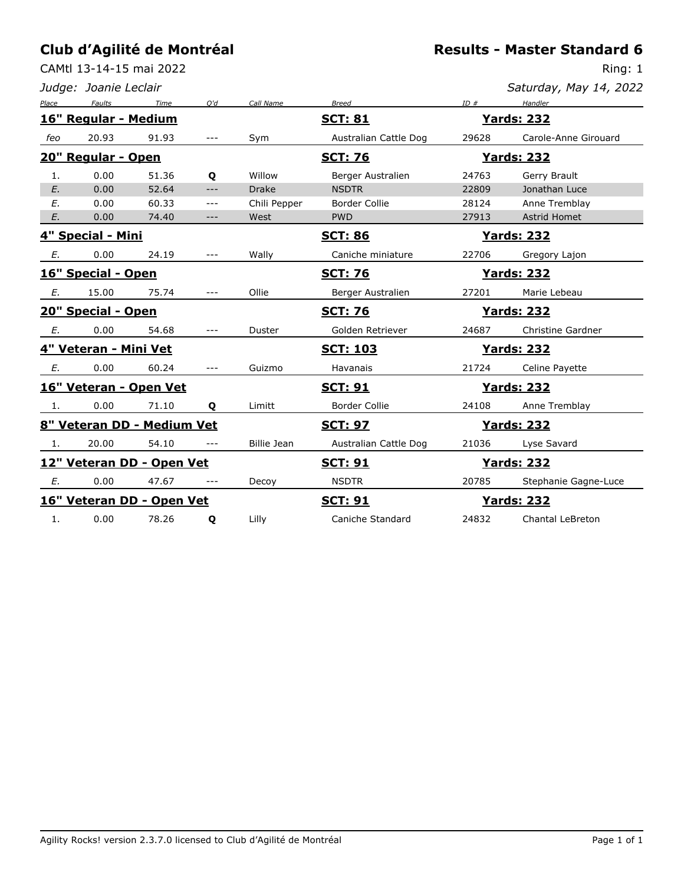CAMtl 13-14-15 mai 2022

**Results - Master Standard 6**

|       | Judge: Joanie Leclair    |                            |       |                    |                                      |       | Saturday, May 14, 2022 |
|-------|--------------------------|----------------------------|-------|--------------------|--------------------------------------|-------|------------------------|
| Place | Faults                   | Time                       | Q'd   | Call Name          | <b>Breed</b>                         | ID#   | Handler                |
|       | 16" Regular - Medium     |                            |       |                    | <u>SCT: 81</u><br><u> Yards: 232</u> |       |                        |
| feo   | 20.93                    | 91.93                      | $---$ | Sym                | Australian Cattle Dog                | 29628 | Carole-Anne Girouard   |
|       | 20" Regular - Open       |                            |       |                    | <b>SCT: 76</b>                       |       | <b>Yards: 232</b>      |
| 1.    | 0.00                     | 51.36                      | Q     | Willow             | Berger Australien                    | 24763 | Gerry Brault           |
| E.    | 0.00                     | 52.64                      | $---$ | <b>Drake</b>       | <b>NSDTR</b>                         | 22809 | Jonathan Luce          |
| E.    | 0.00                     | 60.33                      | $---$ | Chili Pepper       | <b>Border Collie</b>                 | 28124 | Anne Tremblay          |
| E.    | 0.00                     | 74.40                      | $---$ | West               | <b>PWD</b>                           | 27913 | <b>Astrid Homet</b>    |
|       | <u>4" Special - Mini</u> |                            |       |                    | <b>SCT: 86</b>                       |       | <b>Yards: 232</b>      |
| Е.    | 0.00                     | 24.19                      | $---$ | Wally              | Caniche miniature                    | 22706 | Gregory Lajon          |
|       | 16" Special - Open       |                            |       |                    | <b>SCT: 76</b>                       |       | <u>Yards: 232</u>      |
| Е.    | 15.00                    | 75.74                      | ---   | Ollie              | Berger Australien                    | 27201 | Marie Lebeau           |
|       | 20" Special - Open       |                            |       |                    | <b>SCT: 76</b>                       |       | <u>Yards: 232</u>      |
| Е.    | 0.00                     | 54.68                      | $---$ | Duster             | Golden Retriever                     | 24687 | Christine Gardner      |
|       | 4" Veteran - Mini Vet    |                            |       |                    | <u>SCT: 103</u>                      |       | <u> Yards: 232</u>     |
| Е.    | 0.00                     | 60.24                      | $---$ | Guizmo             | Havanais                             | 21724 | Celine Payette         |
|       |                          | 16" Veteran - Open Vet     |       |                    | <b>SCT: 91</b>                       |       | <b>Yards: 232</b>      |
| 1.    | 0.00                     | 71.10                      | Q     | Limitt             | <b>Border Collie</b>                 | 24108 | Anne Tremblay          |
|       |                          | 8" Veteran DD - Medium Vet |       |                    | <u>SCT: 97</u>                       |       | <u>Yards: 232</u>      |
| 1.    | 20.00                    | 54.10                      | $---$ | <b>Billie Jean</b> | Australian Cattle Dog                | 21036 | Lyse Savard            |
|       |                          | 12" Veteran DD - Open Vet  |       |                    | <u>SCT: 91</u>                       |       | <u>Yards: 232</u>      |
| Е.    | 0.00                     | 47.67                      | ---   | Decoy              | <b>NSDTR</b>                         | 20785 | Stephanie Gagne-Luce   |
|       |                          | 16" Veteran DD - Open Vet  |       |                    | <u>SCT: 91</u>                       |       | <u> Yards: 232</u>     |
| 1.    | 0.00                     | 78.26                      | Q     | Lilly              | Caniche Standard                     | 24832 | Chantal LeBreton       |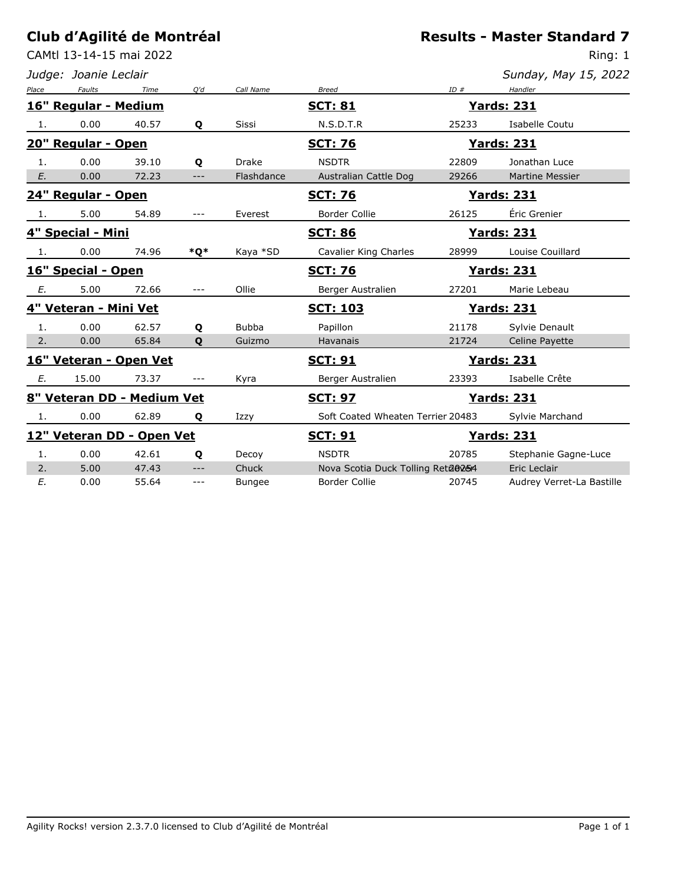CAMtl 13-14-15 mai 2022

*Judge: Joanie Leclair*

| Sunday, May 15, 2022 |  |  |  |
|----------------------|--|--|--|
|----------------------|--|--|--|

| Place                     | Faults                | Time                       | O'd                      | Call Name     | <b>Breed</b>                        | ID#   | Handler                   |
|---------------------------|-----------------------|----------------------------|--------------------------|---------------|-------------------------------------|-------|---------------------------|
|                           | 16" Regular - Medium  |                            |                          |               | <u>SCT: 81</u>                      |       | <u>Yards: 231</u>         |
| 1.                        | 0.00                  | 40.57                      | Q                        | <b>Sissi</b>  | N.S.D.T.R                           | 25233 | Isabelle Coutu            |
|                           | 20" Regular - Open    |                            |                          |               | <b>SCT: 76</b>                      |       | <u>Yards: 231</u>         |
| 1.                        | 0.00                  | 39.10                      | Q                        | <b>Drake</b>  | <b>NSDTR</b>                        | 22809 | Jonathan Luce             |
| E.                        | 0.00                  | 72.23                      | $---$                    | Flashdance    | Australian Cattle Dog               | 29266 | <b>Martine Messier</b>    |
|                           | 24" Regular - Open    |                            |                          |               | <b>SCT: 76</b>                      |       | <b>Yards: 231</b>         |
| 1.                        | 5.00                  | 54.89                      | $- - -$                  | Everest       | <b>Border Collie</b>                | 26125 | Éric Grenier              |
|                           | 4" Special - Mini     |                            |                          |               | <b>SCT: 86</b>                      |       | <b>Yards: 231</b>         |
| 1.                        | 0.00                  | 74.96                      | *O*                      | Kaya *SD      | <b>Cavalier King Charles</b>        | 28999 | Louise Couillard          |
| 16" Special - Open        |                       |                            |                          |               | <u>SCT: 76</u><br><u>Yards: 231</u> |       |                           |
| Е.                        | 5.00                  | 72.66                      | $---$                    | Ollie         | Berger Australien                   | 27201 | Marie Lebeau              |
|                           | 4" Veteran - Mini Vet |                            |                          |               | <b>SCT: 103</b>                     |       | <b>Yards: 231</b>         |
| 1.                        | 0.00                  | 62.57                      | Q                        | <b>Bubba</b>  | Papillon                            | 21178 | Sylvie Denault            |
| 2.                        | 0.00                  | 65.84                      | $\mathbf{o}$             | Guizmo        | <b>Havanais</b>                     | 21724 | Celine Payette            |
|                           |                       | 16" Veteran - Open Vet     |                          |               | <u>SCT: 91</u>                      |       | <u>Yards: 231</u>         |
| Е.                        | 15.00                 | 73.37                      |                          | Kyra          | Berger Australien                   | 23393 | Isabelle Crête            |
|                           |                       | 8" Veteran DD - Medium Vet |                          |               | <b>SCT: 97</b>                      |       | <b>Yards: 231</b>         |
| 1.                        | 0.00                  | 62.89                      | Q                        | Izzy          | Soft Coated Wheaten Terrier 20483   |       | Sylvie Marchand           |
| 12" Veteran DD - Open Vet |                       |                            |                          |               | <u>SCT: 91</u>                      |       | <b>Yards: 231</b>         |
| $\mathbf{1}$ .            | 0.00                  | 42.61                      | Q                        | Decoy         | <b>NSDTR</b>                        | 20785 | Stephanie Gagne-Luce      |
| 2.                        | 5.00                  | 47.43                      | $\scriptstyle{\cdots}$ . | Chuck         | Nova Scotia Duck Tolling Reta@254   |       | Eric Leclair              |
| E.                        | 0.00                  | 55.64                      | $---$                    | <b>Bungee</b> | <b>Border Collie</b>                | 20745 | Audrey Verret-La Bastille |